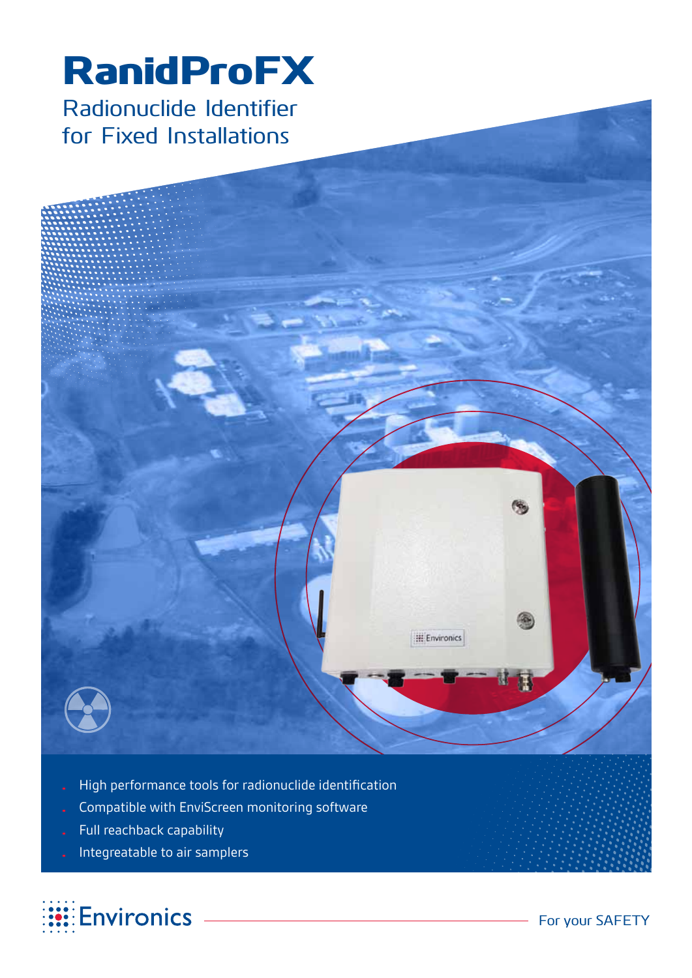# RanidProFX Radionuclide Identifier for Fixed Installations



- Compatible with EnviScreen monitoring software
- Full reachback capability
- Integreatable to air samplers



**III** Environics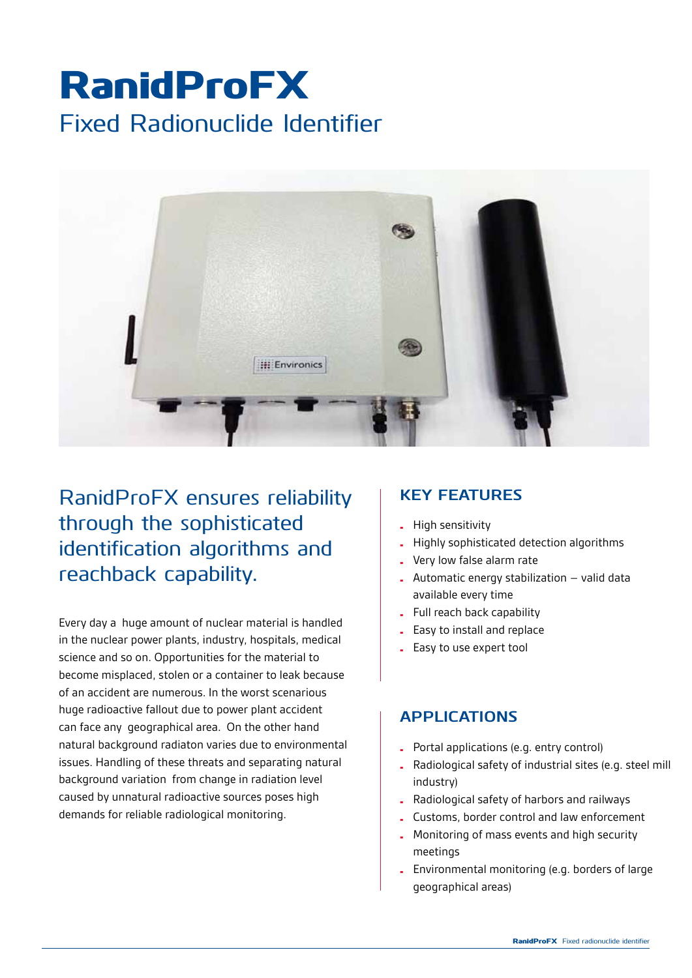# RanidProFX Fixed Radionuclide Identifier



RanidProFX ensures reliability through the sophisticated identification algorithms and reachback capability.

Every day a huge amount of nuclear material is handled in the nuclear power plants, industry, hospitals, medical science and so on. Opportunities for the material to become misplaced, stolen or a container to leak because of an accident are numerous. In the worst scenarious huge radioactive fallout due to power plant accident can face any geographical area. On the other hand natural background radiaton varies due to environmental issues. Handling of these threats and separating natural background variation from change in radiation level caused by unnatural radioactive sources poses high demands for reliable radiological monitoring.

## **Key features**

- • High sensitivity
- Highly sophisticated detection algorithms
- Very low false alarm rate
- Automatic energy stabilization  $-$  valid data available every time
- • Full reach back capability
- Easy to install and replace
- Easy to use expert tool

### **APPLICATIONS**

- • Portal applications (e.g. entry control)
- • Radiological safety of industrial sites (e.g. steel mill industry)
- • Radiological safety of harbors and railways
- Customs, border control and law enforcement
- Monitoring of mass events and high security meetings
- Environmental monitoring (e.g. borders of large geographical areas)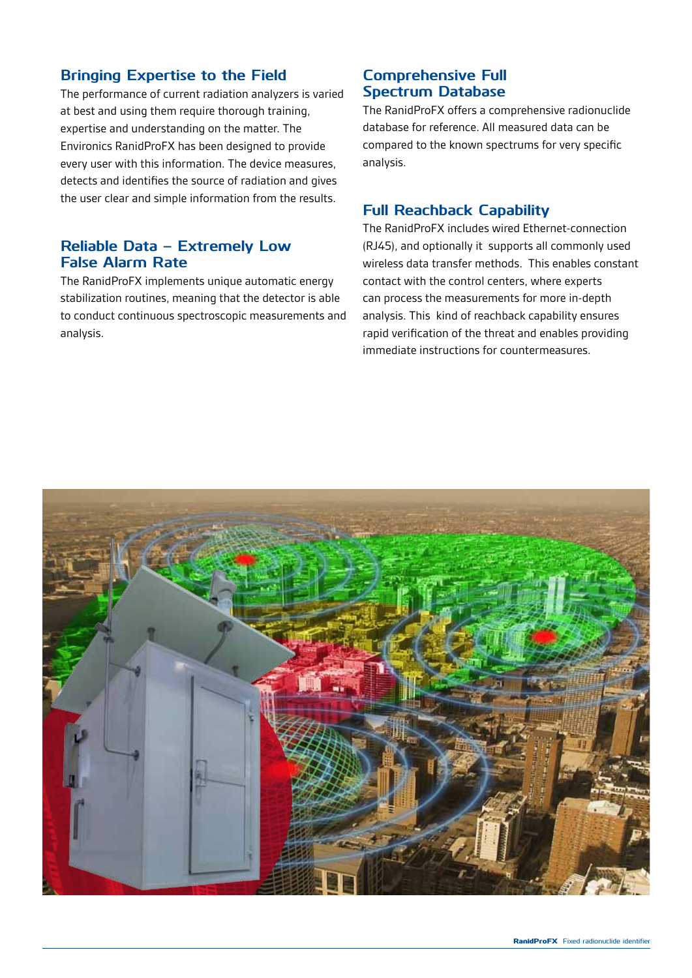#### **Bringing Expertise to the Field**

The performance of current radiation analyzers is varied at best and using them require thorough training, expertise and understanding on the matter. The Environics RanidProFX has been designed to provide every user with this information. The device measures, detects and identifies the source of radiation and gives the user clear and simple information from the results.

#### **Reliable Data – Extremely Low False Alarm Rate**

The RanidProFX implements unique automatic energy stabilization routines, meaning that the detector is able to conduct continuous spectroscopic measurements and analysis.

### **Comprehensive Full Spectrum Database**

The RanidProFX offers a comprehensive radionuclide database for reference. All measured data can be compared to the known spectrums for very specific analysis.

#### **Full Reachback Capability**

The RanidProFX includes wired Ethernet-connection (RJ45), and optionally it supports all commonly used wireless data transfer methods. This enables constant contact with the control centers, where experts can process the measurements for more in-depth analysis. This kind of reachback capability ensures rapid verification of the threat and enables providing immediate instructions for countermeasures.